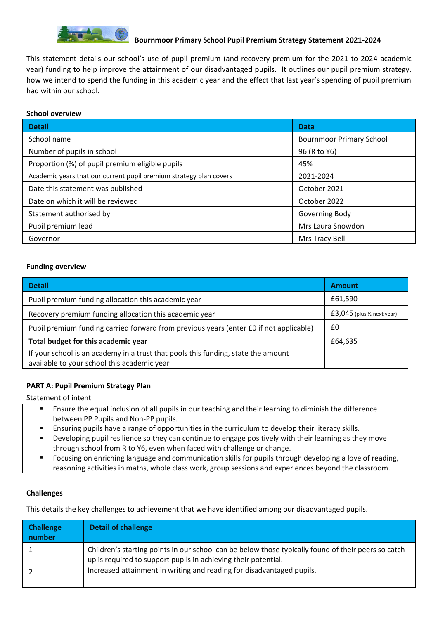

This statement details our school's use of pupil premium (and recovery premium for the 2021 to 2024 academic year) funding to help improve the attainment of our disadvantaged pupils. It outlines our pupil premium strategy, how we intend to spend the funding in this academic year and the effect that last year's spending of pupil premium had within our school.

### **School overview**

| <b>Detail</b>                                                      | Data                            |
|--------------------------------------------------------------------|---------------------------------|
| School name                                                        | <b>Bournmoor Primary School</b> |
| Number of pupils in school                                         | 96 (R to Y6)                    |
| Proportion (%) of pupil premium eligible pupils                    | 45%                             |
| Academic years that our current pupil premium strategy plan covers | 2021-2024                       |
| Date this statement was published                                  | October 2021                    |
| Date on which it will be reviewed                                  | October 2022                    |
| Statement authorised by                                            | Governing Body                  |
| Pupil premium lead                                                 | Mrs Laura Snowdon               |
| Governor                                                           | Mrs Tracy Bell                  |

### **Funding overview**

| <b>Detail</b>                                                                                                                    | <b>Amount</b>                           |
|----------------------------------------------------------------------------------------------------------------------------------|-----------------------------------------|
| Pupil premium funding allocation this academic year                                                                              | £61,590                                 |
| Recovery premium funding allocation this academic year                                                                           | $£3,045$ (plus $\frac{1}{2}$ next year) |
| Pupil premium funding carried forward from previous years (enter £0 if not applicable)                                           | £0                                      |
| Total budget for this academic year                                                                                              | £64,635                                 |
| If your school is an academy in a trust that pools this funding, state the amount<br>available to your school this academic year |                                         |

### **PART A: Pupil Premium Strategy Plan**

Statement of intent

- Ensure the equal inclusion of all pupils in our teaching and their learning to diminish the difference between PP Pupils and Non-PP pupils.
- **E** Ensuring pupils have a range of opportunities in the curriculum to develop their literacy skills.
- **•** Developing pupil resilience so they can continue to engage positively with their learning as they move through school from R to Y6, even when faced with challenge or change.
- Focusing on enriching language and communication skills for pupils through developing a love of reading, reasoning activities in maths, whole class work, group sessions and experiences beyond the classroom.

#### **Challenges**

This details the key challenges to achievement that we have identified among our disadvantaged pupils.

| <b>Challenge</b><br>number | <b>Detail of challenge</b>                                                                                                                                            |
|----------------------------|-----------------------------------------------------------------------------------------------------------------------------------------------------------------------|
|                            | Children's starting points in our school can be below those typically found of their peers so catch<br>up is required to support pupils in achieving their potential. |
|                            | Increased attainment in writing and reading for disadvantaged pupils.                                                                                                 |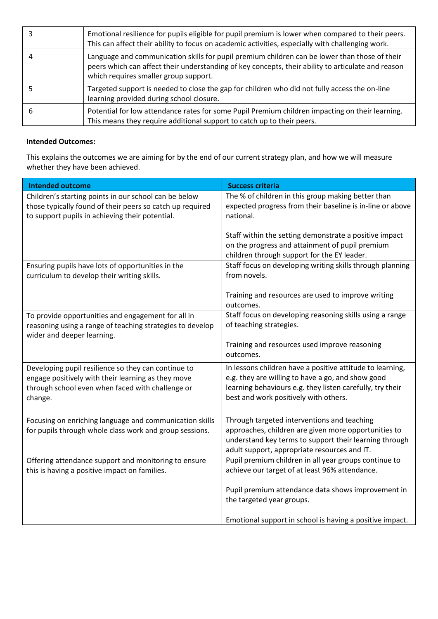|   | Emotional resilience for pupils eligible for pupil premium is lower when compared to their peers.<br>This can affect their ability to focus on academic activities, especially with challenging work.                                        |
|---|----------------------------------------------------------------------------------------------------------------------------------------------------------------------------------------------------------------------------------------------|
|   | Language and communication skills for pupil premium children can be lower than those of their<br>peers which can affect their understanding of key concepts, their ability to articulate and reason<br>which requires smaller group support. |
|   | Targeted support is needed to close the gap for children who did not fully access the on-line<br>learning provided during school closure.                                                                                                    |
| b | Potential for low attendance rates for some Pupil Premium children impacting on their learning.<br>This means they require additional support to catch up to their peers.                                                                    |

# **Intended Outcomes:**

This explains the outcomes we are aiming for by the end of our current strategy plan, and how we will measure whether they have been achieved.

| <b>Intended outcome</b>                                                                                                                                                  | <b>Success criteria</b>                                                                                                                                                                                              |
|--------------------------------------------------------------------------------------------------------------------------------------------------------------------------|----------------------------------------------------------------------------------------------------------------------------------------------------------------------------------------------------------------------|
| Children's starting points in our school can be below<br>those typically found of their peers so catch up required<br>to support pupils in achieving their potential.    | The % of children in this group making better than<br>expected progress from their baseline is in-line or above<br>national.                                                                                         |
|                                                                                                                                                                          | Staff within the setting demonstrate a positive impact<br>on the progress and attainment of pupil premium<br>children through support for the EY leader.                                                             |
| Ensuring pupils have lots of opportunities in the<br>curriculum to develop their writing skills.                                                                         | Staff focus on developing writing skills through planning<br>from novels.                                                                                                                                            |
|                                                                                                                                                                          | Training and resources are used to improve writing<br>outcomes.                                                                                                                                                      |
| To provide opportunities and engagement for all in<br>reasoning using a range of teaching strategies to develop<br>wider and deeper learning.                            | Staff focus on developing reasoning skills using a range<br>of teaching strategies.                                                                                                                                  |
|                                                                                                                                                                          | Training and resources used improve reasoning<br>outcomes.                                                                                                                                                           |
| Developing pupil resilience so they can continue to<br>engage positively with their learning as they move<br>through school even when faced with challenge or<br>change. | In lessons children have a positive attitude to learning,<br>e.g. they are willing to have a go, and show good<br>learning behaviours e.g. they listen carefully, try their<br>best and work positively with others. |
| Focusing on enriching language and communication skills<br>for pupils through whole class work and group sessions.                                                       | Through targeted interventions and teaching<br>approaches, children are given more opportunities to<br>understand key terms to support their learning through<br>adult support, appropriate resources and IT.        |
| Offering attendance support and monitoring to ensure<br>this is having a positive impact on families.                                                                    | Pupil premium children in all year groups continue to<br>achieve our target of at least 96% attendance.                                                                                                              |
|                                                                                                                                                                          | Pupil premium attendance data shows improvement in<br>the targeted year groups.                                                                                                                                      |
|                                                                                                                                                                          | Emotional support in school is having a positive impact.                                                                                                                                                             |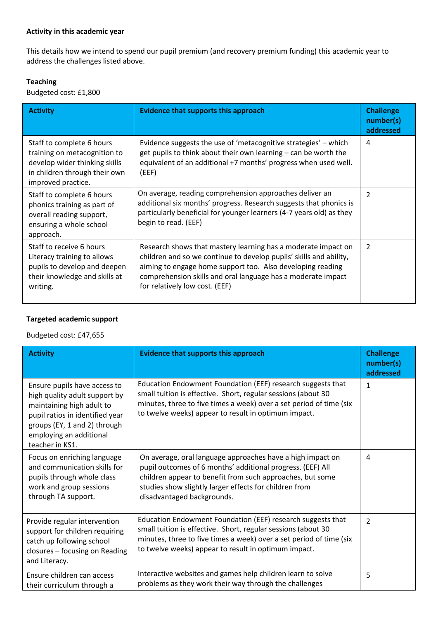This details how we intend to spend our pupil premium (and recovery premium funding) this academic year to address the challenges listed above.

# **Teaching**

Budgeted cost: £1,800

| <b>Activity</b>                                                                                                                                   | <b>Evidence that supports this approach</b>                                                                                                                                                                                                                                                         | <b>Challenge</b><br>number(s)<br>addressed |
|---------------------------------------------------------------------------------------------------------------------------------------------------|-----------------------------------------------------------------------------------------------------------------------------------------------------------------------------------------------------------------------------------------------------------------------------------------------------|--------------------------------------------|
| Staff to complete 6 hours<br>training on metacognition to<br>develop wider thinking skills<br>in children through their own<br>improved practice. | Evidence suggests the use of 'metacognitive strategies' - which<br>get pupils to think about their own learning - can be worth the<br>equivalent of an additional +7 months' progress when used well.<br>(EEF)                                                                                      | 4                                          |
| Staff to complete 6 hours<br>phonics training as part of<br>overall reading support,<br>ensuring a whole school<br>approach.                      | On average, reading comprehension approaches deliver an<br>additional six months' progress. Research suggests that phonics is<br>particularly beneficial for younger learners (4-7 years old) as they<br>begin to read. (EEF)                                                                       | $\overline{\mathcal{L}}$                   |
| Staff to receive 6 hours<br>Literacy training to allows<br>pupils to develop and deepen<br>their knowledge and skills at<br>writing.              | Research shows that mastery learning has a moderate impact on<br>children and so we continue to develop pupils' skills and ability,<br>aiming to engage home support too. Also developing reading<br>comprehension skills and oral language has a moderate impact<br>for relatively low cost. (EEF) | 2                                          |

# **Targeted academic support**

Budgeted cost: £47,655

| <b>Activity</b>                                                                                                                                                                                             | <b>Evidence that supports this approach</b>                                                                                                                                                                                                                                   | <b>Challenge</b><br>number(s)<br>addressed |
|-------------------------------------------------------------------------------------------------------------------------------------------------------------------------------------------------------------|-------------------------------------------------------------------------------------------------------------------------------------------------------------------------------------------------------------------------------------------------------------------------------|--------------------------------------------|
| Ensure pupils have access to<br>high quality adult support by<br>maintaining high adult to<br>pupil ratios in identified year<br>groups (EY, 1 and 2) through<br>employing an additional<br>teacher in KS1. | Education Endowment Foundation (EEF) research suggests that<br>small tuition is effective. Short, regular sessions (about 30<br>minutes, three to five times a week) over a set period of time (six<br>to twelve weeks) appear to result in optimum impact.                   | $\mathbf{1}$                               |
| Focus on enriching language<br>and communication skills for<br>pupils through whole class<br>work and group sessions<br>through TA support.                                                                 | On average, oral language approaches have a high impact on<br>pupil outcomes of 6 months' additional progress. (EEF) All<br>children appear to benefit from such approaches, but some<br>studies show slightly larger effects for children from<br>disadvantaged backgrounds. | $\overline{a}$                             |
| Provide regular intervention<br>support for children requiring<br>catch up following school<br>closures - focusing on Reading<br>and Literacy.                                                              | Education Endowment Foundation (EEF) research suggests that<br>small tuition is effective. Short, regular sessions (about 30<br>minutes, three to five times a week) over a set period of time (six<br>to twelve weeks) appear to result in optimum impact.                   | $\overline{2}$                             |
| Ensure children can access<br>their curriculum through a                                                                                                                                                    | Interactive websites and games help children learn to solve<br>problems as they work their way through the challenges                                                                                                                                                         | 5                                          |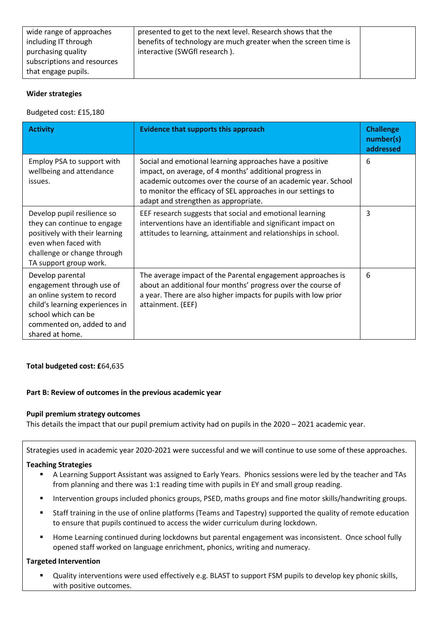| wide range of approaches<br>including IT through | presented to get to the next level. Research shows that the<br>benefits of technology are much greater when the screen time is |  |
|--------------------------------------------------|--------------------------------------------------------------------------------------------------------------------------------|--|
| purchasing quality                               | interactive (SWGfl research).                                                                                                  |  |
| subscriptions and resources                      |                                                                                                                                |  |
| that engage pupils.                              |                                                                                                                                |  |

### **Wider strategies**

Budgeted cost: £15,180

| <b>Activity</b>                                                                                                                                                                        | <b>Evidence that supports this approach</b>                                                                                                                                                                                                                                                  | <b>Challenge</b><br>number(s)<br>addressed |
|----------------------------------------------------------------------------------------------------------------------------------------------------------------------------------------|----------------------------------------------------------------------------------------------------------------------------------------------------------------------------------------------------------------------------------------------------------------------------------------------|--------------------------------------------|
| Employ PSA to support with<br>wellbeing and attendance<br>issues.                                                                                                                      | Social and emotional learning approaches have a positive<br>impact, on average, of 4 months' additional progress in<br>academic outcomes over the course of an academic year. School<br>to monitor the efficacy of SEL approaches in our settings to<br>adapt and strengthen as appropriate. | 6                                          |
| Develop pupil resilience so<br>they can continue to engage<br>positively with their learning<br>even when faced with<br>challenge or change through<br>TA support group work.          | EEF research suggests that social and emotional learning<br>interventions have an identifiable and significant impact on<br>attitudes to learning, attainment and relationships in school.                                                                                                   | 3                                          |
| Develop parental<br>engagement through use of<br>an online system to record<br>child's learning experiences in<br>school which can be<br>commented on, added to and<br>shared at home. | The average impact of the Parental engagement approaches is<br>about an additional four months' progress over the course of<br>a year. There are also higher impacts for pupils with low prior<br>attainment. (EEF)                                                                          | 6                                          |

# **Total budgeted cost: £**64,635

# **Part B: Review of outcomes in the previous academic year**

# **Pupil premium strategy outcomes**

This details the impact that our pupil premium activity had on pupils in the 2020 – 2021 academic year.

Strategies used in academic year 2020-2021 were successful and we will continue to use some of these approaches.

### **Teaching Strategies**

- A Learning Support Assistant was assigned to Early Years. Phonics sessions were led by the teacher and TAs from planning and there was 1:1 reading time with pupils in EY and small group reading.
- Intervention groups included phonics groups, PSED, maths groups and fine motor skills/handwriting groups.
- Staff training in the use of online platforms (Teams and Tapestry) supported the quality of remote education to ensure that pupils continued to access the wider curriculum during lockdown.
- Home Learning continued during lockdowns but parental engagement was inconsistent. Once school fully opened staff worked on language enrichment, phonics, writing and numeracy.

# **Targeted Intervention**

Quality interventions were used effectively e.g. BLAST to support FSM pupils to develop key phonic skills, with positive outcomes.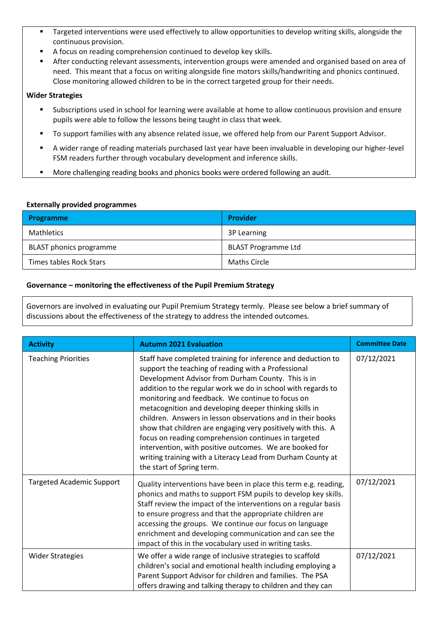- Targeted interventions were used effectively to allow opportunities to develop writing skills, alongside the continuous provision.
- A focus on reading comprehension continued to develop key skills.
- **EXECT** After conducting relevant assessments, intervention groups were amended and organised based on area of need. This meant that a focus on writing alongside fine motors skills/handwriting and phonics continued. Close monitoring allowed children to be in the correct targeted group for their needs.

# **Wider Strategies**

- Subscriptions used in school for learning were available at home to allow continuous provision and ensure pupils were able to follow the lessons being taught in class that week.
- To support families with any absence related issue, we offered help from our Parent Support Advisor.
- A wider range of reading materials purchased last year have been invaluable in developing our higher-level FSM readers further through vocabulary development and inference skills.
- More challenging reading books and phonics books were ordered following an audit.

### **Externally provided programmes**

| <b>Programme</b>               | <b>Provider</b>            |
|--------------------------------|----------------------------|
| Mathletics                     | 3P Learning                |
| <b>BLAST</b> phonics programme | <b>BLAST Programme Ltd</b> |
| Times tables Rock Stars        | Maths Circle               |

### **Governance – monitoring the effectiveness of the Pupil Premium Strategy**

Governors are involved in evaluating our Pupil Premium Strategy termly. Please see below a brief summary of discussions about the effectiveness of the strategy to address the intended outcomes.

| <b>Activity</b>                  | <b>Autumn 2021 Evaluation</b>                                                                                                                                                                                                                                                                                                                                                                                                                                                                                                                                                                                                                                                                         | <b>Committee Date</b> |
|----------------------------------|-------------------------------------------------------------------------------------------------------------------------------------------------------------------------------------------------------------------------------------------------------------------------------------------------------------------------------------------------------------------------------------------------------------------------------------------------------------------------------------------------------------------------------------------------------------------------------------------------------------------------------------------------------------------------------------------------------|-----------------------|
| <b>Teaching Priorities</b>       | Staff have completed training for inference and deduction to<br>support the teaching of reading with a Professional<br>Development Advisor from Durham County. This is in<br>addition to the regular work we do in school with regards to<br>monitoring and feedback. We continue to focus on<br>metacognition and developing deeper thinking skills in<br>children. Answers in lesson observations and in their books<br>show that children are engaging very positively with this. A<br>focus on reading comprehension continues in targeted<br>intervention, with positive outcomes. We are booked for<br>writing training with a Literacy Lead from Durham County at<br>the start of Spring term. | 07/12/2021            |
| <b>Targeted Academic Support</b> | Quality interventions have been in place this term e.g. reading,<br>phonics and maths to support FSM pupils to develop key skills.<br>Staff review the impact of the interventions on a regular basis<br>to ensure progress and that the appropriate children are<br>accessing the groups. We continue our focus on language<br>enrichment and developing communication and can see the<br>impact of this in the vocabulary used in writing tasks.                                                                                                                                                                                                                                                    | 07/12/2021            |
| <b>Wider Strategies</b>          | We offer a wide range of inclusive strategies to scaffold<br>children's social and emotional health including employing a<br>Parent Support Advisor for children and families. The PSA<br>offers drawing and talking therapy to children and they can                                                                                                                                                                                                                                                                                                                                                                                                                                                 | 07/12/2021            |